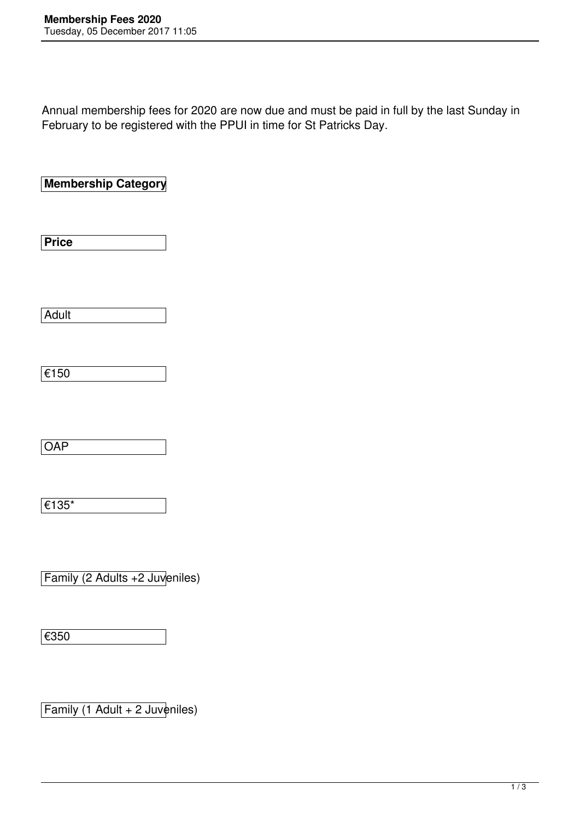Annual membership fees for 2020 are now due and must be paid in full by the last Sunday in February to be registered with the PPUI in time for St Patricks Day.

**Membership Category** 

**Price**

Adult

|--|

**OAP** 

€135\*

Family (2 Adults +2 Juveniles)

€350

Family (1 Adult + 2 Juveniles)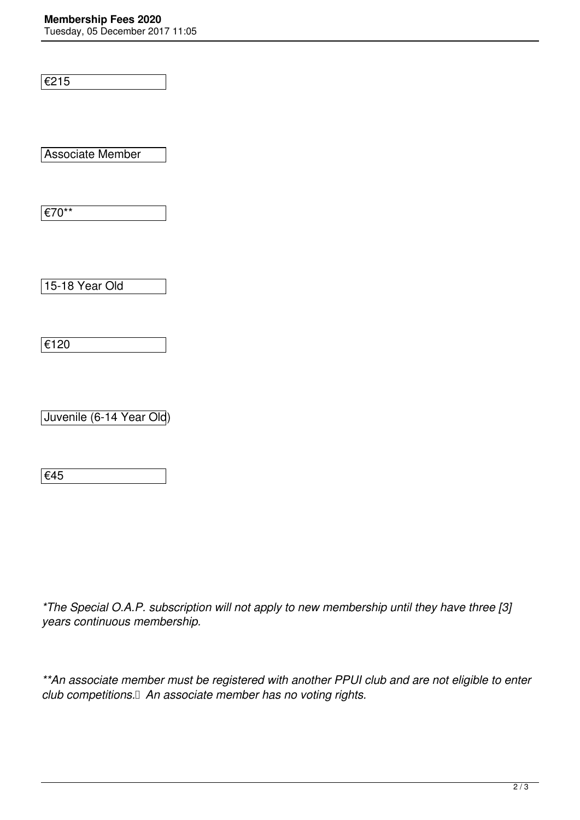## **Membership Fees 2020**

Tuesday, 05 December 2017 11:05

€215

Associate Member

€70\*\*

15-18 Year Old

€120

Juvenile (6-14 Year Old)

€45

*\*The Special O.A.P. subscription will not apply to new membership until they have three [3] years continuous membership.*

*\*\*An associate member must be registered with another PPUI club and are not eligible to enter club competitions. An associate member has no voting rights.*